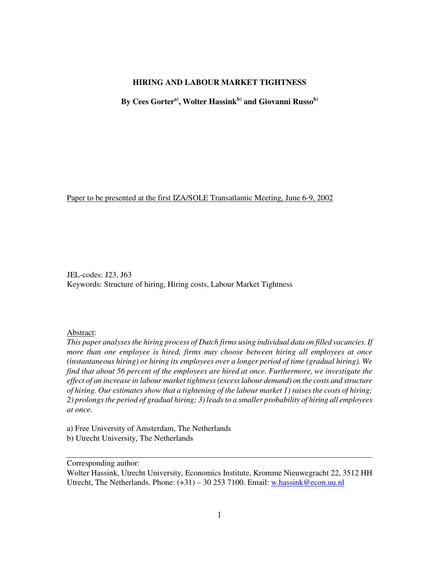## **HIRING AND LABOUR MARKET TIGHTNESS**

**By Cees Gorter a) , Wolter Hassink b) and Giovanni Russo b)**

Paper to be presented at the first IZA/SOLE Transatlantic Meeting, June 6-9, 2002

JEL-codes: J23, J63 Keywords: Structure of hiring, Hiring costs, Labour Market Tightness

#### Abstract:

*This paper analyses the hiring process of Dutch firms using individual data on filled vacancies. If more than one employee is hired, firms may choose between hiring all employees at once (instantaneous hiring) or hiring its employees over a longer period of time (gradual hiring). We find that about 56 percent of the employees are hired at once. Furthermore, we investigate the effect of an increase in labour market tightness (excess labour demand) on the costs and structure of hiring. Our estimates show that a tightening of the labour market 1) raises the costs of hiring; 2) prolongs the period of gradual hiring; 3) leads to a smaller probability of hiring all employees at once.*

a) Free University of Amsterdam, The Netherlands b) Utrecht University, The Netherlands

Corresponding author:

Wolter Hassink, Utrecht University, Economics Institute, Kromme Nieuwegracht 22, 3512 HH Utrecht, The Netherlands. Phone: (+31) – 30 253 7100. Email: w.hassink@econ.uu.nl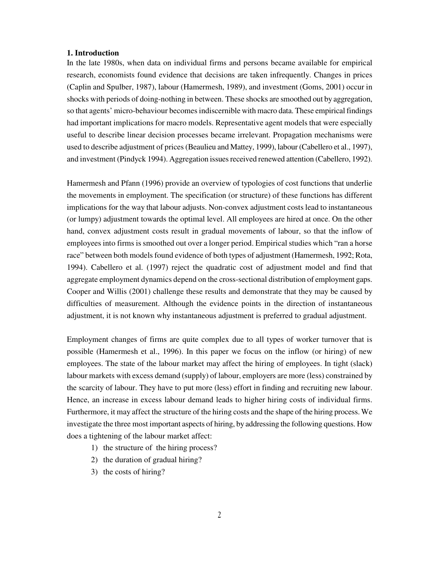## **1. Introduction**

In the late 1980s, when data on individual firms and persons became available for empirical research, economists found evidence that decisions are taken infrequently. Changes in prices (Caplin and Spulber, 1987), labour (Hamermesh, 1989), and investment (Goms, 2001) occur in shocks with periods of doing-nothing in between. These shocks are smoothed out by aggregation, so that agents' micro-behaviour becomes indiscernible with macro data. These empirical findings had important implications for macro models. Representative agent models that were especially useful to describe linear decision processes became irrelevant. Propagation mechanisms were used to describe adjustment of prices (Beaulieu and Mattey, 1999), labour (Cabellero et al., 1997), and investment (Pindyck 1994). Aggregation issues received renewed attention (Cabellero, 1992).

Hamermesh and Pfann (1996) provide an overview of typologies of cost functions that underlie the movements in employment. The specification (or structure) of these functions has different implications for the way that labour adjusts. Non-convex adjustment costs lead to instantaneous (or lumpy) adjustment towards the optimal level. All employees are hired at once. On the other hand, convex adjustment costs result in gradual movements of labour, so that the inflow of employees into firms is smoothed out over a longer period. Empirical studies which "ran a horse race" between both models found evidence of both types of adjustment (Hamermesh, 1992; Rota, 1994). Cabellero et al. (1997) reject the quadratic cost of adjustment model and find that aggregate employment dynamics depend on the cross-sectional distribution of employment gaps. Cooper and Willis (2001) challenge these results and demonstrate that they may be caused by difficulties of measurement. Although the evidence points in the direction of instantaneous adjustment, it is not known why instantaneous adjustment is preferred to gradual adjustment.

Employment changes of firms are quite complex due to all types of worker turnover that is possible (Hamermesh et al., 1996). In this paper we focus on the inflow (or hiring) of new employees. The state of the labour market may affect the hiring of employees. In tight (slack) labour markets with excess demand (supply) of labour, employers are more (less) constrained by the scarcity of labour. They have to put more (less) effort in finding and recruiting new labour. Hence, an increase in excess labour demand leads to higher hiring costs of individual firms. Furthermore, it may affect the structure of the hiring costs and the shape of the hiring process. We investigate the three most important aspects of hiring, by addressing the following questions. How does a tightening of the labour market affect:

- 1) the structure of the hiring process?
- 2) the duration of gradual hiring?
- 3) the costs of hiring?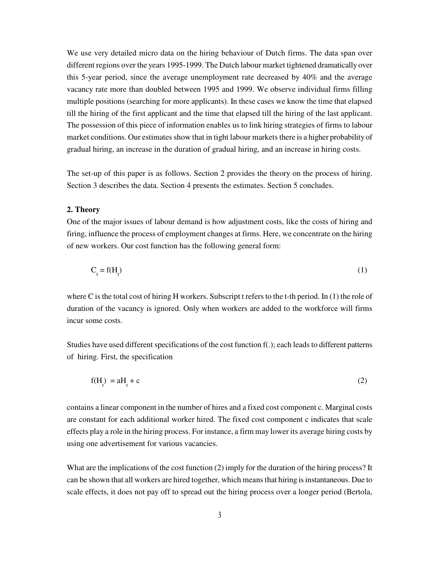We use very detailed micro data on the hiring behaviour of Dutch firms. The data span over different regions over the years 1995-1999. The Dutch labour market tightened dramatically over this 5-year period, since the average unemployment rate decreased by 40% and the average vacancy rate more than doubled between 1995 and 1999. We observe individual firms filling multiple positions (searching for more applicants). In these cases we know the time that elapsed till the hiring of the first applicant and the time that elapsed till the hiring of the last applicant. The possession of this piece of information enables us to link hiring strategies of firms to labour market conditions. Our estimates show that in tight labour markets there is a higher probability of gradual hiring, an increase in the duration of gradual hiring, and an increase in hiring costs.

The set-up of this paper is as follows. Section 2 provides the theory on the process of hiring. Section 3 describes the data. Section 4 presents the estimates. Section 5 concludes.

#### **2. Theory**

One of the major issues of labour demand is how adjustment costs, like the costs of hiring and firing, influence the process of employment changes at firms. Here, we concentrate on the hiring of new workers. Our cost function has the following general form:

$$
C_t = f(H_t) \tag{1}
$$

where C is the total cost of hiring H workers. Subscript t refers to the t-th period. In (1) the role of duration of the vacancy is ignored. Only when workers are added to the workforce will firms incur some costs.

Studies have used different specifications of the cost function f(.); each leads to different patterns of hiring. First, the specification

 $f(H_t) = aH_t$  $+ c$  (2)

contains a linear component in the number of hires and a fixed cost component c. Marginal costs are constant for each additional worker hired. The fixed cost component c indicates that scale effects play a role in the hiring process. For instance, a firm may lower its average hiring costs by using one advertisement for various vacancies.

What are the implications of the cost function (2) imply for the duration of the hiring process? It can be shown that all workers are hired together, which means that hiring is instantaneous. Due to scale effects, it does not pay off to spread out the hiring process over a longer period (Bertola,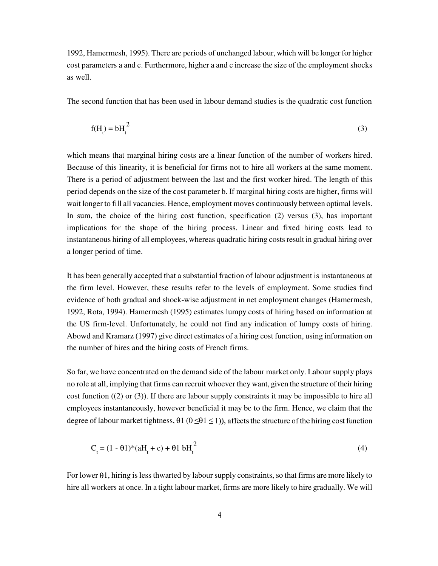cost parameters a and c. Furthermore, higher a and c increase the size of the employment shocks as well.

The second function that has been used in labour demand studies is the quadratic cost function

$$
f(H_t) = bH_t^2
$$
 (3)

1992, Hamermesh, 1995). There are periods of unchanged labour, which will be longer for higher<br>cost parameters a and c. Furthermore, higher a and c increase the size of the employment shocks<br>as well.<br>The second function t which means that marginal hiring costs are a linear function of the number of workers hired. Because of this linearity, it is beneficial for firms not to hire all workers at the same moment. There is a period of adjustment between the last and the first worker hired. The length of this period depends on the size of the cost parameter b. If marginal hiring costs are higher, firms will wait longer to fill all vacancies. Hence, employment moves continuously between optimal levels. In sum, the choice of the hiring cost function, specification (2) versus (3), has important implications for the shape of the hiring process. Linear and fixed hiring costs lead to instantaneous hiring of all employees, whereas quadratic hiring costs result in gradual hiring over a longer period of time.

It has been generally accepted that a substantial fraction of labour adjustment is instantaneous at the firm level. However, these results refer to the levels of employment. Some studies find evidence of both gradual and shock-wise adjustment in net employment changes (Hamermesh, 1992, Rota, 1994). Hamermesh (1995) estimates lumpy costs of hiring based on information at the US firm-level. Unfortunately, he could not find any indication of lumpy costs of hiring. Abowd and Kramarz (1997) give direct estimates of a hiring cost function, using information on the number of hires and the hiring costs of French firms.

So far, we have concentrated on the demand side of the labour market only. Labour supply plays no role at all, implying that firms can recruit whoever they want, given the structure of their hiring cost function ((2) or (3)). If there are labour supply constraints it may be impossible to hire all employees instantaneously, however beneficial it may be to the firm. Hence, we claim that the degree of labour market tightness,  $\theta$ 1 ( $0 \leq \theta$ 1  $\leq$  1)), affects the structure of the hiring cost function

$$
C_t = (1 - \theta 1)^*(aH_t + c) + \theta 1 bH_t^2
$$
\n(4)

For lower θ1, hiring is less thwarted by labour supply constraints, so that firms are more likely to hire all workers at once. In a tight labour market, firms are more likely to hire gradually. We will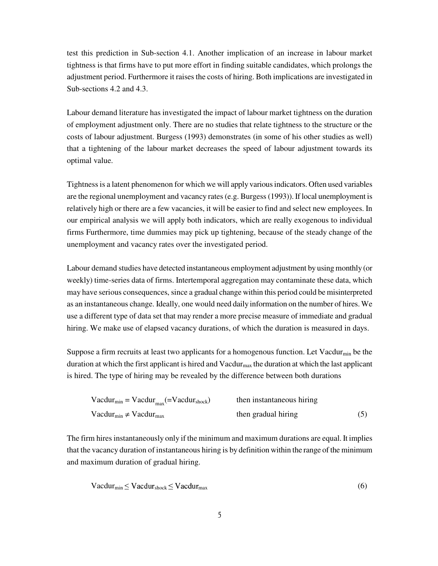test this prediction in Sub-section 4.1. Another implication of an increase in labour market tightness is that firms have to put more effort in finding suitable candidates, which prolongs the adjustment period. Furthermore it raises the costs of hiring. Both implications are investigated in Sub-sections 4.2 and 4.3.

Labour demand literature has investigated the impact of labour market tightness on the duration of employment adjustment only. There are no studies that relate tightness to the structure or the costs of labour adjustment. Burgess (1993) demonstrates (in some of his other studies as well) that a tightening of the labour market decreases the speed of labour adjustment towards its optimal value.

Tightness is a latent phenomenon for which we will apply various indicators. Often used variables are the regional unemployment and vacancy rates (e.g. Burgess (1993)). If local unemployment is relatively high or there are a few vacancies, it will be easier to find and select new employees. In our empirical analysis we will apply both indicators, which are really exogenous to individual firms Furthermore, time dummies may pick up tightening, because of the steady change of the unemployment and vacancy rates over the investigated period.

Labour demand studies have detected instantaneous employment adjustment by using monthly (or weekly) time-series data of firms. Intertemporal aggregation may contaminate these data, which may have serious consequences, since a gradual change within this period could be misinterpreted as an instantaneous change. Ideally, one would need daily information on the number of hires. We use a different type of data set that may render a more precise measure of immediate and gradual hiring. We make use of elapsed vacancy durations, of which the duration is measured in days.

Suppose a firm recruits at least two applicants for a homogenous function. Let Vacdur $_{min}$  be the duration at which the first applicant is hired and  $Vacdur_{max}$  the duration at which the last applicant is hired. The type of hiring may be revealed by the difference between both durations

| $Vacdur_{min} = Vacdur_{max} (=Vacdur_{shock})$ | then instantaneous hiring |  |  |
|-------------------------------------------------|---------------------------|--|--|
| $Vacdur_{min} \neq Vacdur_{max}$                | then gradual hiring       |  |  |

The firm hires instantaneously only if the minimum and maximum durations are equal. It implies that the vacancy duration of instantaneous hiring is by definition within the range of the minimum and maximum duration of gradual hiring.

$$
Vacdur_{\min} \leq Vacdur_{\text{shock}} \leq Vacdur_{\max} \tag{6}
$$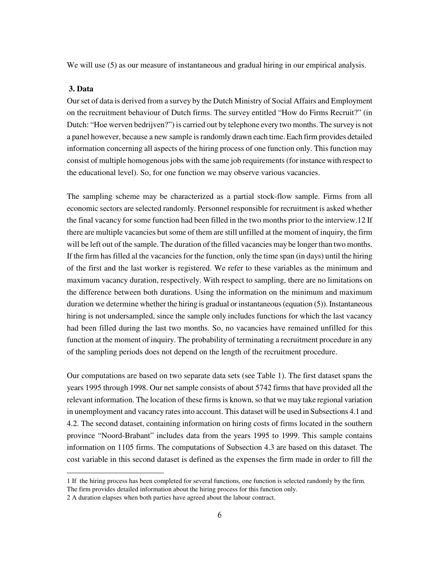We will use  $(5)$  as our measure of instantaneous and gradual hiring in our empirical analysis.

## **3. Data**

 $\overline{a}$ 

Our set of data is derived from a survey by the Dutch Ministry of Social Affairs and Employment on the recruitment behaviour of Dutch firms. The survey entitled "How do Firms Recruit?" (in Dutch: "Hoe werven bedrijven?") is carried out by telephone every two months. The survey is not a panel however, because a new sample is randomly drawn each time. Each firm provides detailed information concerning all aspects of the hiring process of one function only. This function may consist of multiple homogenous jobs with the same job requirements (for instance with respect to the educational level). So, for one function we may observe various vacancies.

The sampling scheme may be characterized as a partial stock-flow sample. Firms from all economic sectors are selected randomly. Personnel responsible for recruitment is asked whether the final vacancy for some function had been filled in the two months prior to the interview.12 If there are multiple vacancies but some of them are still unfilled at the moment of inquiry, the firm will be left out of the sample. The duration of the filled vacancies may be longer than two months. If the firm has filled al the vacancies for the function, only the time span (in days) until the hiring of the first and the last worker is registered. We refer to these variables as the minimum and maximum vacancy duration, respectively. With respect to sampling, there are no limitations on the difference between both durations. Using the information on the minimum and maximum duration we determine whether the hiring is gradual or instantaneous (equation (5)). Instantaneous hiring is not undersampled, since the sample only includes functions for which the last vacancy had been filled during the last two months. So, no vacancies have remained unfilled for this function at the moment of inquiry. The probability of terminating a recruitment procedure in any of the sampling periods does not depend on the length of the recruitment procedure.

Our computations are based on two separate data sets (see Table 1). The first dataset spans the years 1995 through 1998. Our net sample consists of about 5742 firms that have provided all the relevant information. The location of these firms is known, so that we may take regional variation in unemployment and vacancy rates into account. This dataset will be used in Subsections 4.1 and 4.2. The second dataset, containing information on hiring costs of firms located in the southern province "Noord-Brabant" includes data from the years 1995 to 1999. This sample contains information on 1105 firms. The computations of Subsection 4.3 are based on this dataset. The cost variable in this second dataset is defined as the expenses the firm made in order to fill the

<sup>1</sup> If the hiring process has been completed for several functions, one function is selected randomly by the firm.

The firm provides detailed information about the hiring process for this function only.

<sup>2</sup> A duration elapses when both parties have agreed about the labour contract.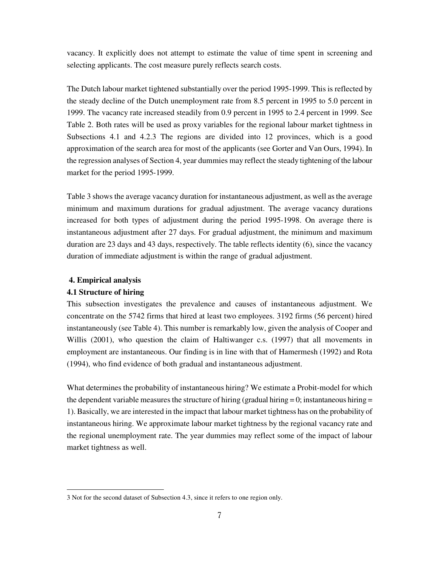vacancy. It explicitly does not attempt to estimate the value of time spent in screening and selecting applicants. The cost measure purely reflects search costs.

The Dutch labour market tightened substantially over the period 1995-1999. This is reflected by the steady decline of the Dutch unemployment rate from 8.5 percent in 1995 to 5.0 percent in 1999. The vacancy rate increased steadily from 0.9 percent in 1995 to 2.4 percent in 1999. See Table 2. Both rates will be used as proxy variables for the regional labour market tightness in Subsections 4.1 and 4.2.3 The regions are divided into 12 provinces, which is a good approximation of the search area for most of the applicants (see Gorter and Van Ours, 1994). In the regression analyses of Section 4, year dummies may reflect the steady tightening of the labour market for the period 1995-1999.

Table 3 shows the average vacancy duration for instantaneous adjustment, as well as the average minimum and maximum durations for gradual adjustment. The average vacancy durations increased for both types of adjustment during the period 1995-1998. On average there is instantaneous adjustment after 27 days. For gradual adjustment, the minimum and maximum duration are 23 days and 43 days, respectively. The table reflects identity (6), since the vacancy duration of immediate adjustment is within the range of gradual adjustment.

### **4. Empirical analysis**

## **4.1 Structure of hiring**

 $\overline{a}$ 

This subsection investigates the prevalence and causes of instantaneous adjustment. We concentrate on the 5742 firms that hired at least two employees. 3192 firms (56 percent) hired instantaneously (see Table 4). This number is remarkably low, given the analysis of Cooper and Willis (2001), who question the claim of Haltiwanger c.s. (1997) that all movements in employment are instantaneous. Our finding is in line with that of Hamermesh (1992) and Rota (1994), who find evidence of both gradual and instantaneous adjustment.

What determines the probability of instantaneous hiring? We estimate a Probit-model for which the dependent variable measures the structure of hiring (gradual hiring  $= 0$ ; instantaneous hiring  $=$ 1). Basically, we are interested in the impact that labour market tightness has on the probability of instantaneous hiring. We approximate labour market tightness by the regional vacancy rate and the regional unemployment rate. The year dummies may reflect some of the impact of labour market tightness as well.

<sup>3</sup> Not for the second dataset of Subsection 4.3, since it refers to one region only.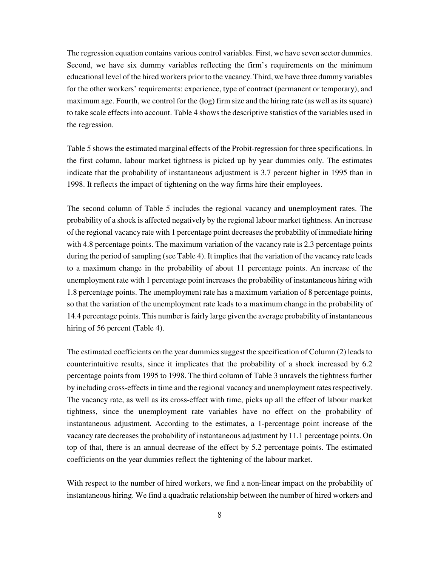The regression equation contains various control variables. First, we have seven sector dummies. Second, we have six dummy variables reflecting the firm's requirements on the minimum educational level of the hired workers prior to the vacancy. Third, we have three dummy variables for the other workers' requirements: experience, type of contract (permanent or temporary), and maximum age. Fourth, we control for the (log) firm size and the hiring rate (as well as its square) to take scale effects into account. Table 4 shows the descriptive statistics of the variables used in the regression.

Table 5 shows the estimated marginal effects of the Probit-regression for three specifications. In the first column, labour market tightness is picked up by year dummies only. The estimates indicate that the probability of instantaneous adjustment is 3.7 percent higher in 1995 than in 1998. It reflects the impact of tightening on the way firms hire their employees.

The second column of Table 5 includes the regional vacancy and unemployment rates. The probability of a shock is affected negatively by the regional labour market tightness. An increase of the regional vacancy rate with 1 percentage point decreases the probability of immediate hiring with 4.8 percentage points. The maximum variation of the vacancy rate is 2.3 percentage points during the period of sampling (see Table 4). It implies that the variation of the vacancy rate leads to a maximum change in the probability of about 11 percentage points. An increase of the unemployment rate with 1 percentage point increases the probability of instantaneous hiring with 1.8 percentage points. The unemployment rate has a maximum variation of 8 percentage points, so that the variation of the unemployment rate leads to a maximum change in the probability of 14.4 percentage points. This number is fairly large given the average probability of instantaneous hiring of 56 percent (Table 4).

The estimated coefficients on the year dummies suggest the specification of Column (2) leads to counterintuitive results, since it implicates that the probability of a shock increased by 6.2 percentage points from 1995 to 1998. The third column of Table 3 unravels the tightness further by including cross-effects in time and the regional vacancy and unemployment rates respectively. The vacancy rate, as well as its cross-effect with time, picks up all the effect of labour market tightness, since the unemployment rate variables have no effect on the probability of instantaneous adjustment. According to the estimates, a 1-percentage point increase of the vacancy rate decreases the probability of instantaneous adjustment by 11.1 percentage points. On top of that, there is an annual decrease of the effect by 5.2 percentage points. The estimated coefficients on the year dummies reflect the tightening of the labour market.

With respect to the number of hired workers, we find a non-linear impact on the probability of instantaneous hiring. We find a quadratic relationship between the number of hired workers and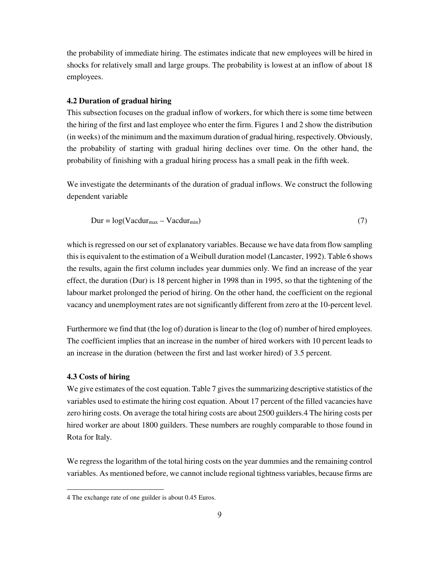the probability of immediate hiring. The estimates indicate that new employees will be hired in shocks for relatively small and large groups. The probability is lowest at an inflow of about 18 employees.

## **4.2 Duration of gradual hiring**

This subsection focuses on the gradual inflow of workers, for which there is some time between the hiring of the first and last employee who enter the firm. Figures 1 and 2 show the distribution (in weeks) of the minimum and the maximum duration of gradual hiring, respectively. Obviously, the probability of starting with gradual hiring declines over time. On the other hand, the probability of finishing with a gradual hiring process has a small peak in the fifth week.

We investigate the determinants of the duration of gradual inflows. We construct the following dependent variable

$$
Dur = log(Vacdur_{max} - Vacdur_{min})
$$
\n(7)

which is regressed on our set of explanatory variables. Because we have data from flow sampling this is equivalent to the estimation of a Weibull duration model (Lancaster, 1992). Table 6 shows the results, again the first column includes year dummies only. We find an increase of the year effect, the duration (Dur) is 18 percent higher in 1998 than in 1995, so that the tightening of the labour market prolonged the period of hiring. On the other hand, the coefficient on the regional vacancy and unemployment rates are not significantly different from zero at the 10-percent level.

Furthermore we find that (the log of) duration is linear to the (log of) number of hired employees. The coefficient implies that an increase in the number of hired workers with 10 percent leads to an increase in the duration (between the first and last worker hired) of 3.5 percent.

### **4.3 Costs of hiring**

 $\overline{a}$ 

We give estimates of the cost equation. Table 7 gives the summarizing descriptive statistics of the variables used to estimate the hiring cost equation. About 17 percent of the filled vacancies have zero hiring costs. On average the total hiring costs are about 2500 guilders.4 The hiring costs per hired worker are about 1800 guilders. These numbers are roughly comparable to those found in Rota for Italy.

We regress the logarithm of the total hiring costs on the year dummies and the remaining control variables. As mentioned before, we cannot include regional tightness variables, because firms are

<sup>4</sup> The exchange rate of one guilder is about 0.45 Euros.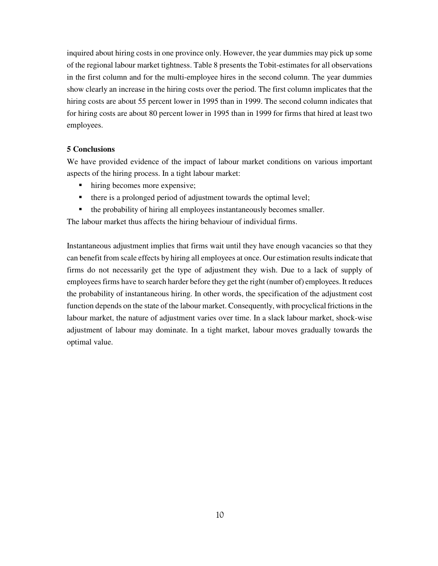inquired about hiring costs in one province only. However, the year dummies may pick up some of the regional labour market tightness. Table 8 presents the Tobit-estimates for all observations in the first column and for the multi-employee hires in the second column. The year dummies show clearly an increase in the hiring costs over the period. The first column implicates that the hiring costs are about 55 percent lower in 1995 than in 1999. The second column indicates that for hiring costs are about 80 percent lower in 1995 than in 1999 for firms that hired at least two employees.

## **5 Conclusions**

We have provided evidence of the impact of labour market conditions on various important aspects of the hiring process. In a tight labour market:

- **I** hiring becomes more expensive;
- there is a prolonged period of adjustment towards the optimal level;
- <sup>F</sup> the probability of hiring all employees instantaneously becomes smaller.

The labour market thus affects the hiring behaviour of individual firms.

Instantaneous adjustment implies that firms wait until they have enough vacancies so that they can benefit from scale effects by hiring all employees at once. Our estimation results indicate that firms do not necessarily get the type of adjustment they wish. Due to a lack of supply of employees firms have to search harder before they get the right (number of) employees. It reduces the probability of instantaneous hiring. In other words, the specification of the adjustment cost function depends on the state of the labour market. Consequently, with procyclical frictions in the labour market, the nature of adjustment varies over time. In a slack labour market, shock-wise adjustment of labour may dominate. In a tight market, labour moves gradually towards the optimal value.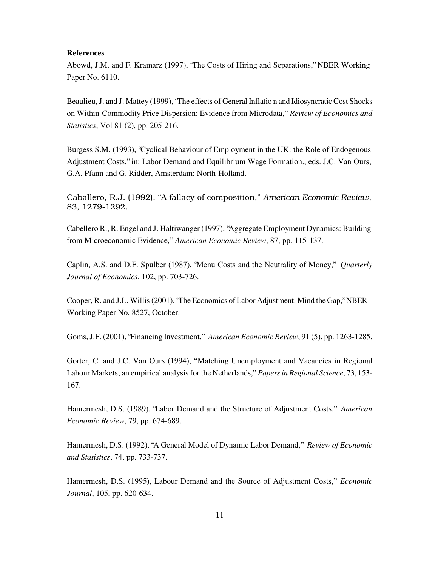#### **References**

Abowd, J.M. and F. Kramarz (1997), "The Costs of Hiring and Separations," NBER Working Paper No. 6110.

Beaulieu, J. and J. Mattey (1999), "The effects of General Inflatio n and Idiosyncratic Cost Shocks on Within-Commodity Price Dispersion: Evidence from Microdata," *Review of Economics and Statistics*, Vol 81 (2), pp. 205-216.

Burgess S.M. (1993), "Cyclical Behaviour of Employment in the UK: the Role of Endogenous Adjustment Costs," in: Labor Demand and Equilibrium Wage Formation., eds. J.C. Van Ours, G.A. Pfann and G. Ridder, Amsterdam: North-Holland.

Caballero, R.J. (1992), ''A fallacy of composition,'' *American Economic Review*, 83, 1279-1292.

Cabellero R., R. Engel and J. Haltiwanger (1997), "Aggregate Employment Dynamics: Building from Microeconomic Evidence," *American Economic Review*, 87, pp. 115-137.

Caplin, A.S. and D.F. Spulber (1987), "Menu Costs and the Neutrality of Money," *Quarterly Journal of Economics*, 102, pp. 703-726.

Cooper, R. and J.L. Willis (2001), "The Economics of Labor Adjustment: Mind the Gap," NBER - Working Paper No. 8527, October.

Goms, J.F. (2001), "Financing Investment," *American Economic Review*, 91 (5), pp. 1263-1285.

Gorter, C. and J.C. Van Ours (1994), " Matching Unemployment and Vacancies in Regional Labour Markets; an empirical analysis for the Netherlands," *Papers in Regional Science*, 73, 153- 167.

Hamermesh, D.S. (1989), "Labor Demand and the Structure of Adjustment Costs," *American Economic Review*, 79, pp. 674-689.

Hamermesh, D.S. (1992), "A General Model of Dynamic Labor Demand," *Review of Economic and Statistics*, 74, pp. 733-737.

Hamermesh, D.S. (1995), Labour Demand and the Source of Adjustment Costs," *Economic Journal*, 105, pp. 620-634.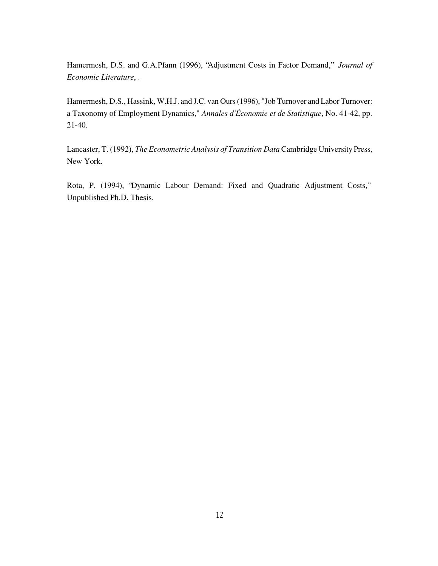Hamermesh, D.S. and G.A.Pfann (1996), "Adjustment Costs in Factor Demand," *Journal of Economic Literature*, .

Hamermesh, D.S., Hassink, W.H.J. and J.C. van Ours (1996), "Job Turnover and Labor Turnover: a Taxonomy of Employment Dynamics," *Annales d'Économie et de Statistique*, No. 41-42, pp. 21-40.

Lancaster, T. (1992), *The Econometric Analysis of Transition Data* Cambridge University Press, New York.

Rota, P. (1994), "Dynamic Labour Demand: Fixed and Quadratic Adjustment Costs," Unpublished Ph.D. Thesis.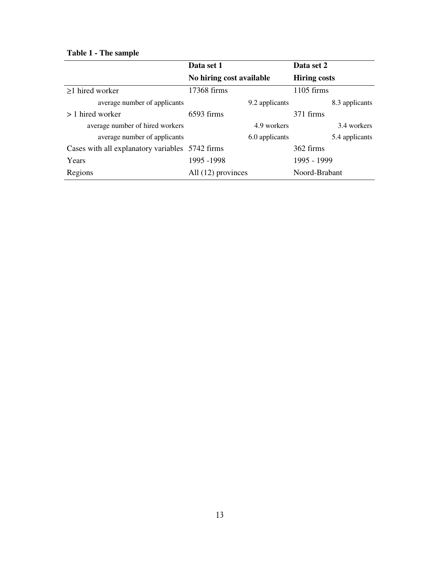# **Table 1 - The sample**

|                                                 | Data set 1               | Data set 2          |
|-------------------------------------------------|--------------------------|---------------------|
|                                                 | No hiring cost available | <b>Hiring costs</b> |
| $\geq$ 1 hired worker                           | 17368 firms              | $1105$ firms        |
| average number of applicants                    | 9.2 applicants           | 8.3 applicants      |
| > 1 hired worker                                | $6593$ firms             | 371 firms           |
| average number of hired workers                 | 4.9 workers              | 3.4 workers         |
| average number of applicants                    | 6.0 applicants           | 5.4 applicants      |
| Cases with all explanatory variables 5742 firms |                          | 362 firms           |
| Years                                           | 1995 - 1998              | 1995 - 1999         |
| Regions                                         | All (12) provinces       | Noord-Brabant       |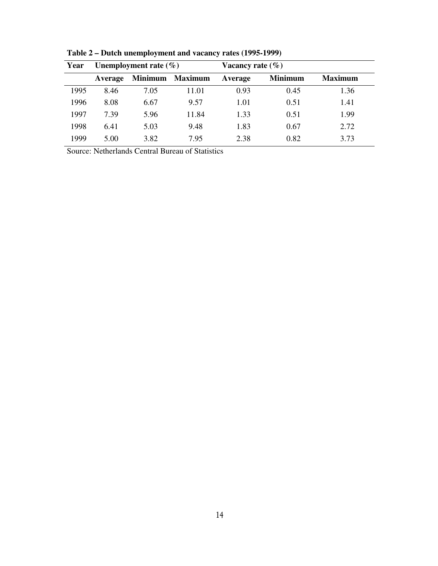| Year | Unemployment rate $(\% )$<br>Vacancy rate $(\% )$ |                |                             |         |                |                |
|------|---------------------------------------------------|----------------|-----------------------------|---------|----------------|----------------|
|      | Average                                           | <b>Minimum</b> | <b>Maximum</b>              | Average | <b>Minimum</b> | <b>Maximum</b> |
| 1995 | 8.46                                              | 7.05           | 11.01                       | 0.93    | 0.45           | 1.36           |
| 1996 | 8.08                                              | 6.67           | 9.57                        | 1.01    | 0.51           | 1.41           |
| 1997 | 7.39                                              | 5.96           | 11.84                       | 1.33    | 0.51           | 1.99           |
| 1998 | 6.41                                              | 5.03           | 9.48                        | 1.83    | 0.67           | 2.72           |
| 1999 | 5.00                                              | 3.82           | 7.95                        | 2.38    | 0.82           | 3.73           |
|      |                                                   | .              | $\sim$ $\sim$ $\sim$ $\sim$ |         |                |                |

**Table 2 – Dutch unemployment and vacancy rates (1995-1999)** 

Source: Netherlands Central Bureau of Statistics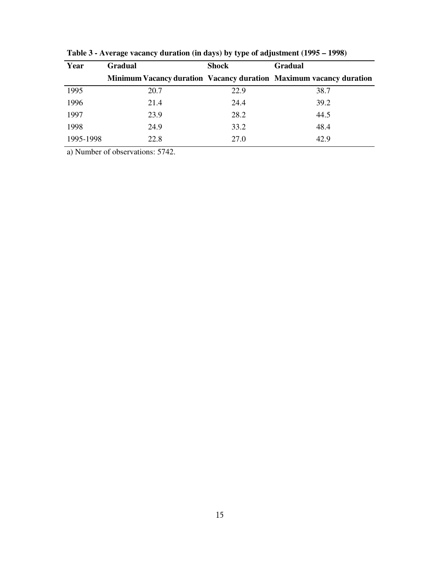| Year      | <b>Gradual</b> | <b>Shock</b> | <b>Gradual</b>                                                            |
|-----------|----------------|--------------|---------------------------------------------------------------------------|
|           |                |              | <b>Minimum Vacancy duration Vacancy duration Maximum vacancy duration</b> |
| 1995      | 20.7           | 22.9         | 38.7                                                                      |
| 1996      | 21.4           | 24.4         | 39.2                                                                      |
| 1997      | 23.9           | 28.2         | 44.5                                                                      |
| 1998      | 24.9           | 33.2         | 48.4                                                                      |
| 1995-1998 | 22.8           | 27.0         | 42.9                                                                      |

**Table 3 - Average vacancy duration (in days) by type of adjustment (1995 – 1998)** 

a) Number of observations: 5742.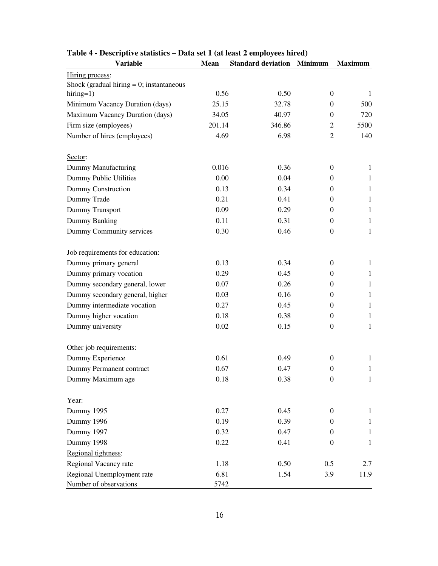| <b>Variable</b>                             | <b>Mean</b> | <b>Standard deviation</b> | <b>Minimum</b>   | <b>Maximum</b> |
|---------------------------------------------|-------------|---------------------------|------------------|----------------|
| Hiring process:                             |             |                           |                  |                |
| Shock (gradual hiring $= 0$ ; instantaneous |             |                           |                  |                |
| hiring=1)                                   | 0.56        | 0.50                      | $\overline{0}$   | $\mathbf{1}$   |
| Minimum Vacancy Duration (days)             | 25.15       | 32.78                     | $\Omega$         | 500            |
| Maximum Vacancy Duration (days)             | 34.05       | 40.97                     | $\overline{0}$   | 720            |
| Firm size (employees)                       | 201.14      | 346.86                    | $\overline{2}$   | 5500           |
| Number of hires (employees)                 | 4.69        | 6.98                      | $\overline{2}$   | 140            |
| Sector:                                     |             |                           |                  |                |
| Dummy Manufacturing                         | 0.016       | 0.36                      | $\overline{0}$   | $\mathbf{1}$   |
| Dummy Public Utilities                      | 0.00        | 0.04                      | $\overline{0}$   | $\mathbf{1}$   |
| Dummy Construction                          | 0.13        | 0.34                      | $\overline{0}$   | $\mathbf{1}$   |
| Dummy Trade                                 | 0.21        | 0.41                      | $\overline{0}$   | $\mathbf{1}$   |
| Dummy Transport                             | 0.09        | 0.29                      | $\overline{0}$   | $\mathbf{1}$   |
| Dummy Banking                               | 0.11        | 0.31                      | $\overline{0}$   | $\mathbf{1}$   |
| Dummy Community services                    | 0.30        | 0.46                      | $\overline{0}$   | $\mathbf{1}$   |
| Job requirements for education:             |             |                           |                  |                |
| Dummy primary general                       | 0.13        | 0.34                      | $\overline{0}$   | $\mathbf{1}$   |
| Dummy primary vocation                      | 0.29        | 0.45                      | $\overline{0}$   | $\mathbf{1}$   |
| Dummy secondary general, lower              | 0.07        | 0.26                      | 0                | $\mathbf{1}$   |
| Dummy secondary general, higher             | 0.03        | 0.16                      | $\overline{0}$   | $\mathbf{1}$   |
| Dummy intermediate vocation                 | 0.27        | 0.45                      | $\overline{0}$   | $\mathbf{1}$   |
| Dummy higher vocation                       | 0.18        | 0.38                      | $\overline{0}$   | $\mathbf{1}$   |
| Dummy university                            | 0.02        | 0.15                      | $\overline{0}$   | $\mathbf{1}$   |
| Other job requirements:                     |             |                           |                  |                |
| Dummy Experience                            | 0.61        | 0.49                      | $\overline{0}$   | $\mathbf{1}$   |
| Dummy Permanent contract                    | 0.67        | 0.47                      | 0                | 1              |
| Dummy Maximum age                           | 0.18        | 0.38                      | $\boldsymbol{0}$ | $\mathbf{1}$   |
| Year:                                       |             |                           |                  |                |
| Dummy 1995                                  | 0.27        | 0.45                      | $\overline{0}$   | $\mathbf{1}$   |
| Dummy 1996                                  | 0.19        | 0.39                      | $\overline{0}$   | $\mathbf{1}$   |
| Dummy 1997                                  | 0.32        | 0.47                      | $\theta$         | $\mathbf{1}$   |
| Dummy 1998                                  | 0.22        | 0.41                      | $\mathbf{0}$     | $\mathbf{1}$   |
| Regional tightness:                         |             |                           |                  |                |
| Regional Vacancy rate                       | 1.18        | 0.50                      | 0.5              | 2.7            |
| Regional Unemployment rate                  | 6.81        | 1.54                      | 3.9              | 11.9           |
| Number of observations                      | 5742        |                           |                  |                |

| Table 4 - Descriptive statistics – Data set 1 (at least 2 employees hired) |  |  |
|----------------------------------------------------------------------------|--|--|
|                                                                            |  |  |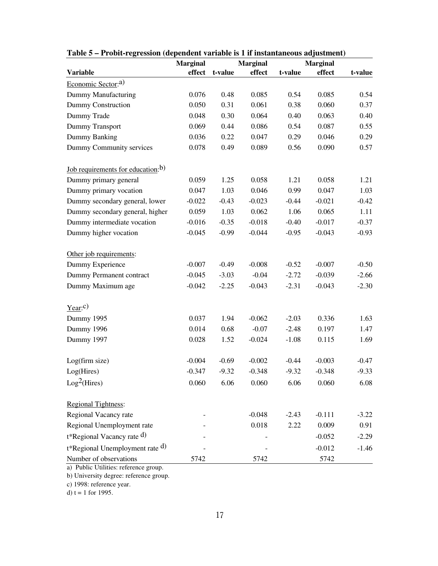|                                                                 | <b>Marginal</b><br><b>Marginal</b><br><b>Marginal</b> |         |          |         |          |         |
|-----------------------------------------------------------------|-------------------------------------------------------|---------|----------|---------|----------|---------|
| Variable                                                        | effect                                                | t-value | effect   | t-value | effect   | t-value |
| Economic Sector: <sup>a)</sup>                                  |                                                       |         |          |         |          |         |
| Dummy Manufacturing                                             | 0.076                                                 | 0.48    | 0.085    | 0.54    | 0.085    | 0.54    |
| Dummy Construction                                              | 0.050                                                 | 0.31    | 0.061    | 0.38    | 0.060    | 0.37    |
| Dummy Trade                                                     | 0.048                                                 | 0.30    | 0.064    | 0.40    | 0.063    | 0.40    |
| Dummy Transport                                                 | 0.069                                                 | 0.44    | 0.086    | 0.54    | 0.087    | 0.55    |
| Dummy Banking                                                   | 0.036                                                 | 0.22    | 0.047    | 0.29    | 0.046    | 0.29    |
| Dummy Community services                                        | 0.078                                                 | 0.49    | 0.089    | 0.56    | 0.090    | 0.57    |
| <u>Job requirements for education</u> : <sup>b)</sup>           |                                                       |         |          |         |          |         |
| Dummy primary general                                           | 0.059                                                 | 1.25    | 0.058    | 1.21    | 0.058    | 1.21    |
| Dummy primary vocation                                          | 0.047                                                 | 1.03    | 0.046    | 0.99    | 0.047    | 1.03    |
| Dummy secondary general, lower                                  | $-0.022$                                              | $-0.43$ | $-0.023$ | $-0.44$ | $-0.021$ | $-0.42$ |
| Dummy secondary general, higher                                 | 0.059                                                 | 1.03    | 0.062    | 1.06    | 0.065    | 1.11    |
| Dummy intermediate vocation                                     | $-0.016$                                              | $-0.35$ | $-0.018$ | $-0.40$ | $-0.017$ | $-0.37$ |
| Dummy higher vocation                                           | $-0.045$                                              | $-0.99$ | $-0.044$ | $-0.95$ | $-0.043$ | $-0.93$ |
| Other job requirements:                                         |                                                       |         |          |         |          |         |
| Dummy Experience                                                | $-0.007$                                              | $-0.49$ | $-0.008$ | $-0.52$ | $-0.007$ | $-0.50$ |
| Dummy Permanent contract                                        | $-0.045$                                              | $-3.03$ | $-0.04$  | $-2.72$ | $-0.039$ | $-2.66$ |
| Dummy Maximum age                                               | $-0.042$                                              | $-2.25$ | $-0.043$ | $-2.31$ | $-0.043$ | $-2.30$ |
| $Year:$ <sup>c)</sup>                                           |                                                       |         |          |         |          |         |
| Dummy 1995                                                      | 0.037                                                 | 1.94    | $-0.062$ | $-2.03$ | 0.336    | 1.63    |
| Dummy 1996                                                      | 0.014                                                 | 0.68    | $-0.07$  | $-2.48$ | 0.197    | 1.47    |
| Dummy 1997                                                      | 0.028                                                 | 1.52    | $-0.024$ | $-1.08$ | 0.115    | 1.69    |
| Log(firm size)                                                  | $-0.004$                                              | $-0.69$ | $-0.002$ | $-0.44$ | $-0.003$ | $-0.47$ |
| Log(Hires)                                                      | $-0.347$                                              | $-9.32$ | $-0.348$ | $-9.32$ | $-0.348$ | $-9.33$ |
| Log <sup>2</sup> (Hires)                                        | 0.060                                                 | 6.06    | 0.060    | 6.06    | 0.060    | 6.08    |
| Regional Tightness:                                             |                                                       |         |          |         |          |         |
| Regional Vacancy rate                                           |                                                       |         | $-0.048$ | $-2.43$ | $-0.111$ | $-3.22$ |
| Regional Unemployment rate                                      |                                                       |         | 0.018    | 2.22    | 0.009    | 0.91    |
| t*Regional Vacancy rate d)                                      |                                                       |         |          |         | $-0.052$ | $-2.29$ |
| t*Regional Unemployment rate d)                                 |                                                       |         |          |         | $-0.012$ | $-1.46$ |
| Number of observations<br>a) Public Utilities: reference group. | 5742                                                  |         | 5742     |         | 5742     |         |

**Table 5 – Probit-regression (dependent variable is 1 if instantaneous adjustment)**

b) University degree: reference group.

c) 1998: reference year.

d) t = 1 for 1995.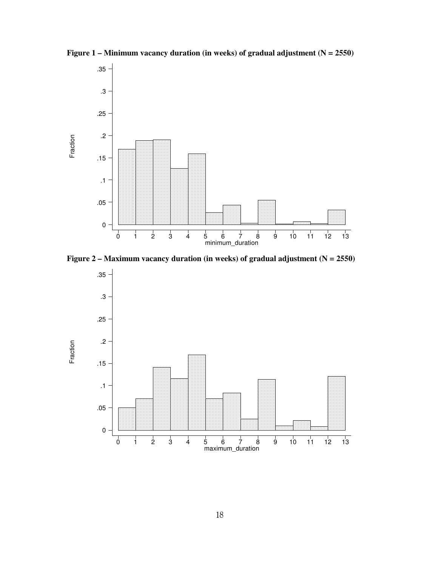

**Figure 1 – Minimum vacancy duration (in weeks) of gradual adjustment (N = 2550)**



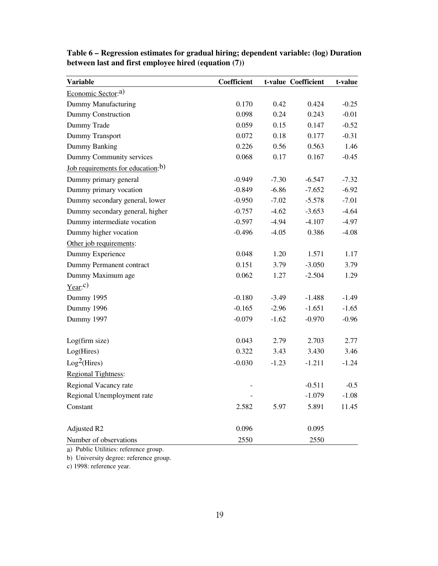| <b>Variable</b>                   | Coefficient |         | t-value Coefficient | t-value |
|-----------------------------------|-------------|---------|---------------------|---------|
| Economic Sector: <sup>a)</sup>    |             |         |                     |         |
| Dummy Manufacturing               | 0.170       | 0.42    | 0.424               | $-0.25$ |
| Dummy Construction                | 0.098       | 0.24    | 0.243               | $-0.01$ |
| Dummy Trade                       | 0.059       | 0.15    | 0.147               | $-0.52$ |
| Dummy Transport                   | 0.072       | 0.18    | 0.177               | $-0.31$ |
| Dummy Banking                     | 0.226       | 0.56    | 0.563               | 1.46    |
| Dummy Community services          | 0.068       | 0.17    | 0.167               | $-0.45$ |
| Job requirements for education:b) |             |         |                     |         |
| Dummy primary general             | $-0.949$    | $-7.30$ | $-6.547$            | $-7.32$ |
| Dummy primary vocation            | $-0.849$    | $-6.86$ | $-7.652$            | $-6.92$ |
| Dummy secondary general, lower    | $-0.950$    | $-7.02$ | $-5.578$            | $-7.01$ |
| Dummy secondary general, higher   | $-0.757$    | $-4.62$ | $-3.653$            | $-4.64$ |
| Dummy intermediate vocation       | $-0.597$    | $-4.94$ | $-4.107$            | $-4.97$ |
| Dummy higher vocation             | $-0.496$    | $-4.05$ | 0.386               | $-4.08$ |
| Other job requirements:           |             |         |                     |         |
| Dummy Experience                  | 0.048       | 1.20    | 1.571               | 1.17    |
| Dummy Permanent contract          | 0.151       | 3.79    | $-3.050$            | 3.79    |
| Dummy Maximum age                 | 0.062       | 1.27    | $-2.504$            | 1.29    |
| Year: c)                          |             |         |                     |         |
| Dummy 1995                        | $-0.180$    | $-3.49$ | $-1.488$            | $-1.49$ |
| Dummy 1996                        | $-0.165$    | $-2.96$ | $-1.651$            | $-1.65$ |
| Dummy 1997                        | $-0.079$    | $-1.62$ | $-0.970$            | $-0.96$ |
|                                   |             |         |                     |         |
| Log(firm size)                    | 0.043       | 2.79    | 2.703               | 2.77    |
| Log(Hires)                        | 0.322       | 3.43    | 3.430               | 3.46    |
| Log <sup>2</sup> (Hires)          | $-0.030$    | $-1.23$ | $-1.211$            | $-1.24$ |
| Regional Tightness:               |             |         |                     |         |
| Regional Vacancy rate             |             |         | $-0.511$            | $-0.5$  |
| Regional Unemployment rate        |             |         | $-1.079$            | $-1.08$ |
| Constant                          | 2.582       | 5.97    | 5.891               | 11.45   |
|                                   |             |         |                     |         |
| Adjusted R2                       | 0.096       |         | 0.095               |         |
| Number of observations            | 2550        |         | 2550                |         |

**Table 6 – Regression estimates for gradual hiring; dependent variable: (log) Duration between last and first employee hired (equation (7))**

a) Public Utilities: reference group.

b) University degree: reference group.

c) 1998: reference year.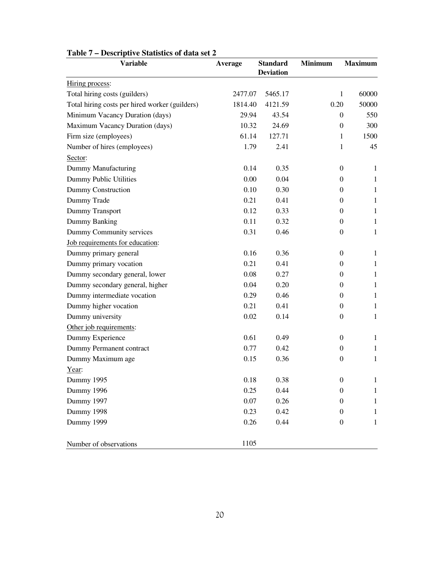| <b>Variable</b>                                | Average | <b>Standard</b><br><b>Deviation</b> | <b>Minimum</b>   | <b>Maximum</b> |
|------------------------------------------------|---------|-------------------------------------|------------------|----------------|
| Hiring process:                                |         |                                     |                  |                |
| Total hiring costs (guilders)                  | 2477.07 | 5465.17                             | 1                | 60000          |
| Total hiring costs per hired worker (guilders) | 1814.40 | 4121.59                             | 0.20             | 50000          |
| Minimum Vacancy Duration (days)                | 29.94   | 43.54                               | 0                | 550            |
| Maximum Vacancy Duration (days)                | 10.32   | 24.69                               | $\theta$         | 300            |
| Firm size (employees)                          | 61.14   | 127.71                              | $\mathbf{1}$     | 1500           |
| Number of hires (employees)                    | 1.79    | 2.41                                | 1                | 45             |
| Sector:                                        |         |                                     |                  |                |
| Dummy Manufacturing                            | 0.14    | 0.35                                | $\Omega$         | $\mathbf{1}$   |
| Dummy Public Utilities                         | 0.00    | 0.04                                | $\overline{0}$   | $\mathbf{1}$   |
| Dummy Construction                             | 0.10    | 0.30                                | $\boldsymbol{0}$ | $\mathbf{1}$   |
| Dummy Trade                                    | 0.21    | 0.41                                | $\overline{0}$   | $\mathbf{1}$   |
| Dummy Transport                                | 0.12    | 0.33                                | $\overline{0}$   | $\mathbf{1}$   |
| Dummy Banking                                  | 0.11    | 0.32                                | 0                | $\mathbf{1}$   |
| Dummy Community services                       | 0.31    | 0.46                                | $\theta$         | $\mathbf{1}$   |
| Job requirements for education:                |         |                                     |                  |                |
| Dummy primary general                          | 0.16    | 0.36                                | $\Omega$         | $\mathbf{1}$   |
| Dummy primary vocation                         | 0.21    | 0.41                                | $\theta$         | $\mathbf{1}$   |
| Dummy secondary general, lower                 | 0.08    | 0.27                                | 0                | $\mathbf{1}$   |
| Dummy secondary general, higher                | 0.04    | 0.20                                | $\theta$         | $\mathbf{1}$   |
| Dummy intermediate vocation                    | 0.29    | 0.46                                | 0                | $\mathbf{1}$   |
| Dummy higher vocation                          | 0.21    | 0.41                                | 0                | $\mathbf{1}$   |
| Dummy university                               | 0.02    | 0.14                                | $\overline{0}$   | $\mathbf{1}$   |
| Other job requirements:                        |         |                                     |                  |                |
| Dummy Experience                               | 0.61    | 0.49                                | $\theta$         | $\mathbf{1}$   |
| Dummy Permanent contract                       | 0.77    | 0.42                                | $\overline{0}$   | $\mathbf{1}$   |
| Dummy Maximum age                              | 0.15    | 0.36                                | $\boldsymbol{0}$ | $\mathbf{1}$   |
| Year:                                          |         |                                     |                  |                |
| Dummy 1995                                     | 0.18    | 0.38                                | $\boldsymbol{0}$ | $\mathbf{1}$   |
| Dummy 1996                                     | 0.25    | 0.44                                | $\boldsymbol{0}$ | $\mathbf{1}$   |
| Dummy 1997                                     | 0.07    | 0.26                                | 0                | 1              |
| Dummy 1998                                     | 0.23    | 0.42                                | 0                | $\mathbf{1}$   |
| Dummy 1999                                     | 0.26    | 0.44                                | $\boldsymbol{0}$ | $\mathbf{1}$   |
| Number of observations                         | 1105    |                                     |                  |                |

## **Table 7 – Descriptive Statistics of data set 2**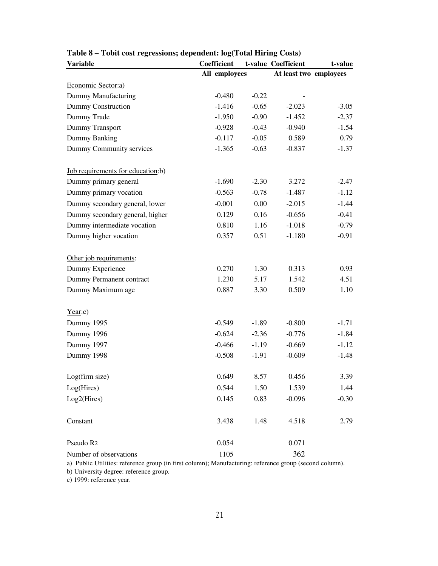| <b>Variable</b>                   | Coefficient   |         | t-value Coefficient    | t-value |
|-----------------------------------|---------------|---------|------------------------|---------|
|                                   | All employees |         | At least two employees |         |
| Economic Sector:a)                |               |         |                        |         |
| Dummy Manufacturing               | $-0.480$      | $-0.22$ |                        |         |
| Dummy Construction                | $-1.416$      | $-0.65$ | $-2.023$               | $-3.05$ |
| Dummy Trade                       | $-1.950$      | $-0.90$ | $-1.452$               | $-2.37$ |
| Dummy Transport                   | $-0.928$      | $-0.43$ | $-0.940$               | $-1.54$ |
| Dummy Banking                     | $-0.117$      | $-0.05$ | 0.589                  | 0.79    |
| Dummy Community services          | $-1.365$      | $-0.63$ | $-0.837$               | $-1.37$ |
| Job requirements for education:b) |               |         |                        |         |
| Dummy primary general             | $-1.690$      | $-2.30$ | 3.272                  | $-2.47$ |
| Dummy primary vocation            | $-0.563$      | $-0.78$ | $-1.487$               | $-1.12$ |
| Dummy secondary general, lower    | $-0.001$      | 0.00    | $-2.015$               | $-1.44$ |
| Dummy secondary general, higher   | 0.129         | 0.16    | $-0.656$               | $-0.41$ |
| Dummy intermediate vocation       | 0.810         | 1.16    | $-1.018$               | $-0.79$ |
| Dummy higher vocation             | 0.357         | 0.51    | $-1.180$               | $-0.91$ |
| Other job requirements:           |               |         |                        |         |
| Dummy Experience                  | 0.270         | 1.30    | 0.313                  | 0.93    |
| Dummy Permanent contract          | 1.230         | 5.17    | 1.542                  | 4.51    |
| Dummy Maximum age                 | 0.887         | 3.30    | 0.509                  | 1.10    |
| Year:c)                           |               |         |                        |         |
| Dummy 1995                        | $-0.549$      | $-1.89$ | $-0.800$               | $-1.71$ |
| Dummy 1996                        | $-0.624$      | $-2.36$ | $-0.776$               | $-1.84$ |
| Dummy 1997                        | $-0.466$      | $-1.19$ | $-0.669$               | $-1.12$ |
| Dummy 1998                        | $-0.508$      | $-1.91$ | $-0.609$               | $-1.48$ |
| Log(firm size)                    | 0.649         | 8.57    | 0.456                  | 3.39    |
| Log(Hires)                        | 0.544         | 1.50    | 1.539                  | 1.44    |
| Log2(Hires)                       | 0.145         | 0.83    | $-0.096$               | $-0.30$ |
| Constant                          | 3.438         | 1.48    | 4.518                  | 2.79    |
| Pseudo R <sub>2</sub>             | 0.054         |         | 0.071                  |         |
| Number of observations            | 1105          |         | 362                    |         |

**Table 8 – Tobit cost regressions; dependent: log(Total Hiring Costs)**

a) Public Utilities: reference group (in first column); Manufacturing: reference group (second column).

b) University degree: reference group.

c) 1999: reference year.